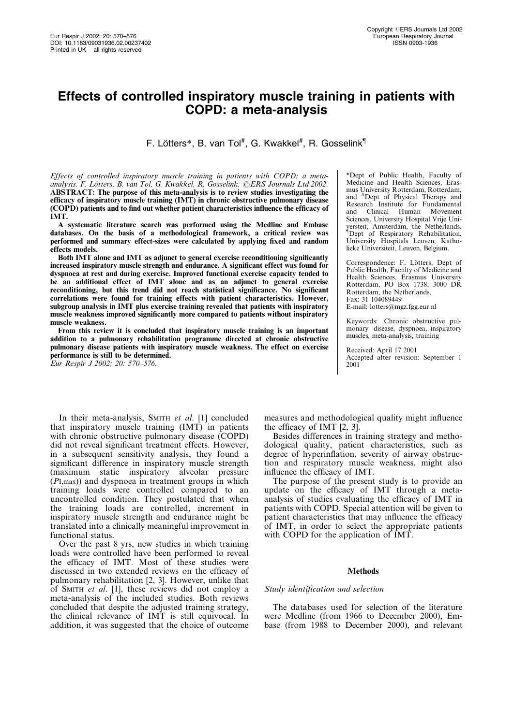# Effects of controlled inspiratory muscle training in patients with COPD: a meta-analysis

F. Lötters\*, B. van Tol<sup>#</sup>, G. Kwakkel<sup>#</sup>, R. Gosselink<sup>¶</sup>

Effects of controlled inspiratory muscle training in patients with COPD: a metaanalysis. F. Lötters, B. van Tol, G. Kwakkel, R. Gosselink. ©ERS Journals Ltd 2002. ABSTRACT: The purpose of this meta-analysis is to review studies investigating the efficacy of inspiratory muscle training (IMT) in chronic obstructive pulmonary disease (COPD) patients and to find out whether patient characteristics influence the efficacy of IMT.

A systematic literature search was performed using the Medline and Embase databases. On the basis of a methodological framework, a critical review was performed and summary effect-sizes were calculated by applying fixed and random effects models.

Both IMT alone and IMT as adjunct to general exercise reconditioning significantly increased inspiratory muscle strength and endurance. A significant effect was found for dyspnoea at rest and during exercise. Improved functional exercise capacity tended to be an additional effect of IMT alone and as an adjunct to general exercise reconditioning, but this trend did not reach statistical significance. No significant correlations were found for training effects with patient characteristics. However, subgroup analysis in IMT plus exercise training revealed that patients with inspiratory muscle weakness improved significantly more compared to patients without inspiratory muscle weakness.

From this review it is concluded that inspiratory muscle training is an important addition to a pulmonary rehabilitation programme directed at chronic obstructive pulmonary disease patients with inspiratory muscle weakness. The effect on exercise performance is still to be determined.

Eur Respir J 2002; 20: 570–576.

\*Dept of Public Health, Faculty of Medicine and Health Sciences, Erasmus University Rotterdam, Rotterdam, and # Dept of Physical Therapy and Research Institute for Fundamental and Clinical Human Movement Sciences, University Hospital Vrije Universteit, Amsterdam, the Netherlands. <sup>1</sup>Dept of Respiratory Rehabilitation, University Hospitals Leuven, Katholieke Universiteit, Leuven, Belgium.

Correspondence: F. Lötters, Dept of Public Health, Faculty of Medicine and Health Sciences, Erasmus University Rotterdam, PO Box 1738, 3000 DR Rotterdam, the Netherlands. Fax: 31 104089449 E-mail: lotters@mgz.fgg.eur.nl

Keywords: Chronic obstructive pulmonary disease, dyspnoea, inspiratory muscles, meta-analysis, training

Received: April 17 2001 Accepted after revision: September 1 2001

In their meta-analysis, SMITH et al. [1] concluded that inspiratory muscle training (IMT) in patients with chronic obstructive pulmonary disease (COPD) did not reveal significant treatment effects. However, in a subsequent sensitivity analysis, they found a significant difference in inspiratory muscle strength (maximum static inspiratory alveolar pressure (PI,max)) and dyspnoea in treatment groups in which training loads were controlled compared to an uncontrolled condition. They postulated that when the training loads are controlled, increment in inspiratory muscle strength and endurance might be translated into a clinically meaningful improvement in functional status.

Over the past 8 yrs, new studies in which training loads were controlled have been performed to reveal the efficacy of IMT. Most of these studies were discussed in two extended reviews on the efficacy of pulmonary rehabilitation [2, 3]. However, unlike that of SMITH et al. [1], these reviews did not employ a meta-analysis of the included studies. Both reviews concluded that despite the adjusted training strategy, the clinical relevance of IMT is still equivocal. In addition, it was suggested that the choice of outcome

measures and methodological quality might influence the efficacy of IMT [2, 3].

Besides differences in training strategy and methodological quality, patient characteristics, such as degree of hyperinflation, severity of airway obstruction and respiratory muscle weakness, might also influence the efficacy of IMT.

The purpose of the present study is to provide an update on the efficacy of IMT through a metaanalysis of studies evaluating the efficacy of IMT in patients with COPD. Special attention will be given to patient characteristics that may influence the efficacy of IMT, in order to select the appropriate patients with COPD for the application of IMT.

## **Methods**

## Study identification and selection

The databases used for selection of the literature were Medline (from 1966 to December 2000), Embase (from 1988 to December 2000), and relevant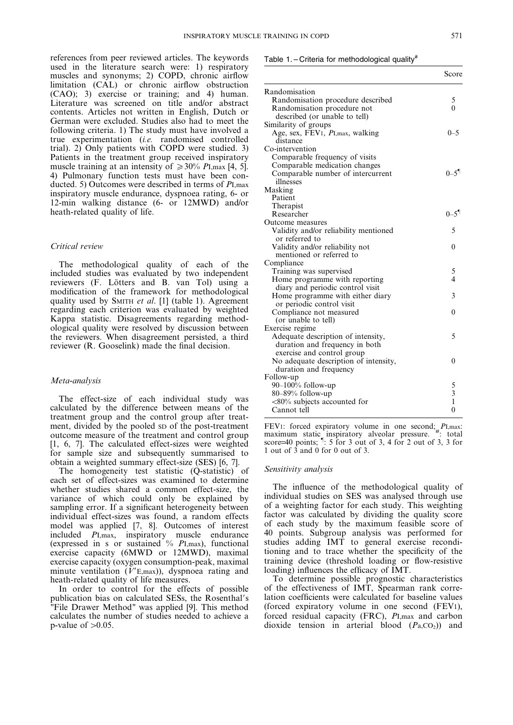references from peer reviewed articles. The keywords used in the literature search were: 1) respiratory muscles and synonyms; 2) COPD, chronic airflow limitation (CAL) or chronic airflow obstruction (CAO); 3) exercise or training; and 4) human. Literature was screened on title and/or abstract contents. Articles not written in English, Dutch or German were excluded. Studies also had to meet the following criteria. 1) The study must have involved a true experimentation (i.e. randomised controlled trial). 2) Only patients with COPD were studied. 3) Patients in the treatment group received inspiratory muscle training at an intensity of  $\geq 30\%$  PI, max [4, 5]. 4) Pulmonary function tests must have been conducted. 5) Outcomes were described in terms of PI,max inspiratory muscle endurance, dyspnoea rating, 6- or 12-min walking distance (6- or 12MWD) and/or heath-related quality of life.

# Critical review

The methodological quality of each of the included studies was evaluated by two independent reviewers (F. Lötters and B. van Tol) using a modification of the framework for methodological quality used by SMITH et al. [1] (table 1). Agreement regarding each criterion was evaluated by weighted Kappa statistic. Disagreements regarding methodological quality were resolved by discussion between the reviewers. When disagreement persisted, a third reviewer (R. Gooselink) made the final decision.

## Meta-analysis

The effect-size of each individual study was calculated by the difference between means of the treatment group and the control group after treatment, divided by the pooled SD of the post-treatment outcome measure of the treatment and control group [1, 6, 7]. The calculated effect-sizes were weighted for sample size and subsequently summarised to obtain a weighted summary effect-size (SES) [6, 7].

The homogeneity test statistic (Q-statistic) of each set of effect-sizes was examined to determine whether studies shared a common effect-size, the variance of which could only be explained by sampling error. If a significant heterogeneity between individual effect-sizes was found, a random effects model was applied [7, 8]. Outcomes of interest included PI,max, inspiratory muscle endurance (expressed in s or sustained  $\frac{6}{2}$  PI, max), functional exercise capacity (6MWD or 12MWD), maximal exercise capacity (oxygen consumption-peak, maximal minute ventilation  $(V_{E,\text{max}})$ , dyspnoea rating and heath-related quality of life measures.

In order to control for the effects of possible publication bias on calculated SESs, the Rosenthal's "File Drawer Method" was applied [9]. This method calculates the number of studies needed to achieve a p-value of  $>0.05$ .

Table 1. – Criteria for methodological quality<sup>#</sup>

|                                       | Score                 |
|---------------------------------------|-----------------------|
| Randomisation                         |                       |
| Randomisation procedure described     | 5                     |
| Randomisation procedure not           | 0                     |
| described (or unable to tell)         |                       |
| Similarity of groups                  |                       |
| Age, sex, FEV1, PI, max, walking      | $0-5$                 |
| distance                              |                       |
| Co-intervention                       |                       |
| Comparable frequency of visits        |                       |
| Comparable medication changes         |                       |
| Comparable number of intercurrent     | $0 - 5$ <sup>1</sup>  |
| illnesses                             |                       |
| Masking<br>Patient                    |                       |
|                                       |                       |
| Therapist<br>Researcher               | $0 - 5$ <sup>-1</sup> |
| Outcome measures                      |                       |
| Validity and/or reliability mentioned | 5                     |
| or referred to                        |                       |
| Validity and/or reliability not       | $\theta$              |
| mentioned or referred to              |                       |
| Compliance                            |                       |
| Training was supervised               | 5                     |
| Home programme with reporting         | $\overline{4}$        |
| diary and periodic control visit      |                       |
| Home programme with either diary      | 3                     |
| or periodic control visit             |                       |
| Compliance not measured               | $\theta$              |
| (or unable to tell)                   |                       |
| Exercise regime                       |                       |
| Adequate description of intensity,    | 5                     |
| duration and frequency in both        |                       |
| exercise and control group            |                       |
| No adequate description of intensity, | 0                     |
| duration and frequency                |                       |
| Follow-up                             |                       |
| 90-100% follow-up                     |                       |
| $80-89%$ follow-up                    | 5<br>3<br>1           |
| $<80\%$ subjects accounted for        |                       |
| Cannot tell                           | $\theta$              |

FEV1: forced expiratory volume in one second;  $P1$ <sub>tmax</sub>: maximum static inspiratory alveolar pressure. <sup>#</sup>: total score=40 points;  $\mathbb{I}$ : 5 for 3 out of 3, 4 for 2 out of 3, 3 for 1 out of  $\overline{3}$  and 0 for 0 out of 3.

#### Sensitivity analysis

The influence of the methodological quality of individual studies on SES was analysed through use of a weighting factor for each study. This weighting factor was calculated by dividing the quality score of each study by the maximum feasible score of 40 points. Subgroup analysis was performed for studies adding IMT to general exercise reconditioning and to trace whether the specificity of the training device (threshold loading or flow-resistive loading) influences the efficacy of IMT.

To determine possible prognostic characteristics of the effectiveness of IMT, Spearman rank correlation coefficients were calculated for baseline values (forced expiratory volume in one second (FEV1), forced residual capacity (FRC), PI,max and carbon dioxide tension in arterial blood  $(P<sub>a</sub>,CO<sub>2</sub>)$  and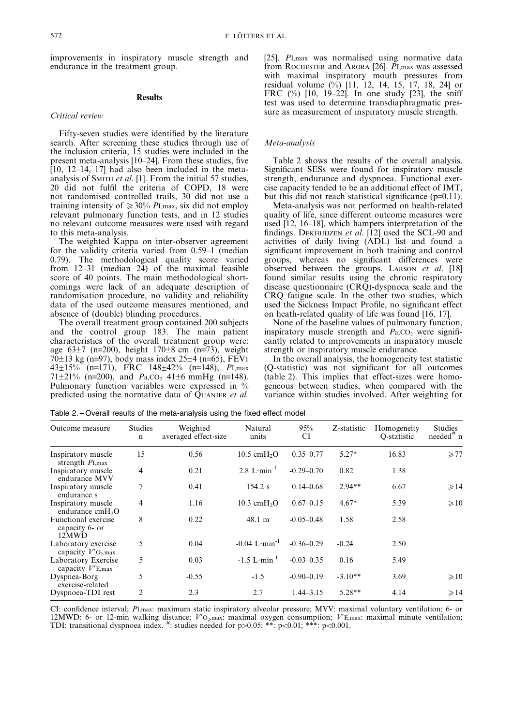improvements in inspiratory muscle strength and endurance in the treatment group.

# **Results**

#### Critical review

Fifty-seven studies were identified by the literature search. After screening these studies through use of the inclusion criteria, 15 studies were included in the present meta-analysis [10–24]. From these studies, five  $[10, 12-14, 17]$  had also been included in the metaanalysis of SMITH et al. [1]. From the initial 57 studies, 20 did not fulfil the criteria of COPD, 18 were not randomised controlled trails, 30 did not use a training intensity of  $\geq 30\%$  PI, max, six did not employ relevant pulmonary function tests, and in 12 studies no relevant outcome measures were used with regard to this meta-analysis.

The weighted Kappa on inter-observer agreement for the validity criteria varied from 0.59–1 (median 0.79). The methodological quality score varied from 12–31 (median 24) of the maximal feasible score of 40 points. The main methodological shortcomings were lack of an adequate description of randomisation procedure, no validity and reliability data of the used outcome measures mentioned, and absence of (double) blinding procedures.

The overall treatment group contained 200 subjects and the control group 183. The main patient characteristics of the overall treatment group were: age  $63\pm7$  (n=200), height  $170\pm8$  cm (n=73), weight 70 $\pm$ 13 kg (n=97), body mass index 25 $\pm$ 4 (n=65), FEV1 43 $\pm$ 15% (n=171), FRC 148 $\pm$ 42% (n=148), PI, max 71 $\pm$ 21% (n=200), and  $P_{a,CO_2}$  41 $\pm$ 6 mmHg (n=148). Pulmonary function variables were expressed in  $\%$ predicted using the normative data of QUANJER et al.

[25]. PI,max was normalised using normative data from ROCHESTER and ARORA [26]. PI,max was assessed with maximal inspiratory mouth pressures from residual volume (%) [11, 12, 14, 15, 17, 18, 24] or FRC (%) [10, 19–22]. In one study [23], the sniff test was used to determine transdiaphragmatic pressure as measurement of inspiratory muscle strength.

### Meta-analysis

Table 2 shows the results of the overall analysis. Significant SESs were found for inspiratory muscle strength, endurance and dyspnoea. Functional exercise capacity tended to be an additional effect of IMT, but this did not reach statistical significance (p=0.11).

Meta-analysis was not performed on health-related quality of life, since different outcome measures were used [12, 16–18], which hampers interpretation of the findings. DEKHUIJZEN et al.  $[12]$  used the SCL-90 and activities of daily living (ADL) list and found a significant improvement in both training and control groups, whereas no significant differences were observed between the groups. LARSON et al. [18] found similar results using the chronic respiratory disease questionnaire (CRQ)-dyspnoea scale and the CRQ fatigue scale. In the other two studies, which used the Sickness Impact Profile, no significant effect on heath-related quality of life was found [16, 17].

None of the baseline values of pulmonary function, inspiratory muscle strength and  $P_{a,CO_2}$  were significantly related to improvements in inspiratory muscle strength or inspiratory muscle endurance.

In the overall analysis, the homogeneity test statistic (Q-statistic) was not significant for all outcomes (table 2). This implies that effect-sizes were homogeneous between studies, when compared with the variance within studies involved. After weighting for

Table 2. – Overall results of the meta-analysis using the fixed effect model

| Outcome measure                                      | <b>Studies</b><br>n | Weighted<br>averaged effect-size | Natural<br>units                    | 95%<br><b>CI</b> | Z-statistic | Homogeneity<br>O-statistic | <b>Studies</b><br>needed <sup>#</sup> $n$ |
|------------------------------------------------------|---------------------|----------------------------------|-------------------------------------|------------------|-------------|----------------------------|-------------------------------------------|
| Inspiratory muscle<br>strength $P_{\text{I,max}}$    | 15                  | 0.56                             | $10.5 \text{ cm}H2O$                | $0.35 - 0.77$    | $5.27*$     | 16.83                      | $\geqslant$ 77                            |
| Inspiratory muscle<br>endurance MVV                  | 4                   | 0.21                             | 2.8 L $\cdot$ min <sup>-1</sup>     | $-0.29 - 0.70$   | 0.82        | 1.38                       |                                           |
| Inspiratory muscle<br>endurance s                    | 7                   | 0.41                             | 154.2 s                             | $0.14 - 0.68$    | $2.94**$    | 6.67                       | $\geqslant$ 14                            |
| Inspiratory muscle<br>endurance $\text{cm}H_2O$      | 4                   | 1.16                             | $10.3 \text{ cm}H2O$                | $0.67 - 0.15$    | $4.67*$     | 5.39                       | $\geqslant$ 10                            |
| Functional exercise<br>capacity 6- or<br>12MWD       | 8                   | 0.22                             | 48.1 m                              | $-0.05 - 0.48$   | 1.58        | 2.58                       |                                           |
| Laboratory exercise<br>capacity $V'O_{2,\text{max}}$ | 5                   | 0.04                             | $-0.04$ L $\cdot$ min <sup>-1</sup> | $-0.36 - 0.29$   | $-0.24$     | 2.50                       |                                           |
| Laboratory Exercise<br>capacity $V'E, max$           | 5                   | 0.03                             | $-1.5$ L $\cdot$ min <sup>-1</sup>  | $-0.03 - 0.35$   | 0.16        | 5.49                       |                                           |
| Dyspnea-Borg<br>exercise-related                     | 5                   | $-0.55$                          | $-1.5$                              | $-0.90 - 0.19$   | $-3.10**$   | 3.69                       | $\geqslant$ 10                            |
| Dyspnoea-TDI rest                                    | $\overline{2}$      | 2.3                              | 2.7                                 | $1.44 - 3.15$    | $5.28**$    | 4.14                       | $\geqslant$ 14                            |

CI: confidence interval; PI,max: maximum static inspiratory alveolar pressure; MVV: maximal voluntary ventilation; 6- or 12MWD: 6- or 12-min walking distance;  $V'O<sub>2</sub> max$ : maximal oxygen consumption;  $V'E<sub>1</sub> max$ : maximal minute ventilation; TDI: transitional dyspnoea index.  $\#$ : studies needed for p $>0.05$ ; \*\*: p<0.01; \*\*\*: p<0.001.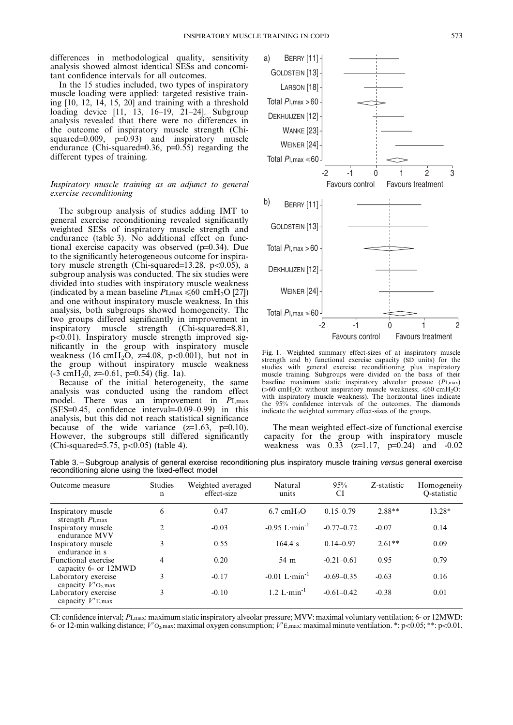differences in methodological quality, sensitivity analysis showed almost identical SESs and concomitant confidence intervals for all outcomes.

In the 15 studies included, two types of inspiratory muscle loading were applied: targeted resistive training [10, 12, 14, 15, 20] and training with a threshold loading device [11, 13, 16–19, 21–24]. Subgroup analysis revealed that there were no differences in the outcome of inspiratory muscle strength (Chisquared= $0.009$ ,  $p=0.93$  and inspiratory muscle endurance (Chi-squared=0.36, p=0.55) regarding the different types of training.

## Inspiratory muscle training as an adjunct to general exercise reconditioning

The subgroup analysis of studies adding IMT to general exercise reconditioning revealed significantly weighted SESs of inspiratory muscle strength and endurance (table 3). No additional effect on functional exercise capacity was observed (p=0.34). Due to the significantly heterogeneous outcome for inspiratory muscle strength (Chi-squared=13.28,  $p<0.05$ ), a subgroup analysis was conducted. The six studies were divided into studies with inspiratory muscle weakness (indicated by a mean baseline  $P_{\text{I,max}} \le 60 \text{ cm} + 50 \text{ [27]}$ ) and one without inspiratory muscle weakness. In this analysis, both subgroups showed homogeneity. The two groups differed significantly in improvement in inspiratory muscle strength (Chi-squared=8.81,  $p<0.01$ ). Inspiratory muscle strength improved significantly in the group with inspiratory muscle weakness (16 cmH<sub>2</sub>O,  $z=4.08$ , p<0.001), but not in the group without inspiratory muscle weakness  $(-3 \text{ cmH}_20, z=0.61, p=0.54)$  (fig. 1a).

Because of the initial heterogeneity, the same analysis was conducted using the random effect model. There was an improvement in PI, max  $(SES=0.45, confidence interval=0.09-0.99)$  in this analysis, but this did not reach statistical significance because of the wide variance  $(z=1.63, p=0.10)$ . However, the subgroups still differed significantly (Chi-squared=5.75,  $p<0.05$ ) (table 4).



Fig. 1. – Weighted summary effect-sizes of a) inspiratory muscle strength and b) functional exercise capacity (SD units) for the studies with general exercise reconditioning plus inspiratory muscle training. Subgroups were divided on the basis of their baseline maximum static inspiratory alveolar pressue (PI,max)  $(>60 \text{ cmH}_2O:$  without inspiratory muscle weakness;  $\leq 60 \text{ cmH}_2O:$ with inspiratory muscle weakness). The horizontal lines indicate the 95% confidence intervals of the outcomes. The diamonds indicate the weighted summary effect-sizes of the groups.

The mean weighted effect-size of functional exercise capacity for the group with inspiratory muscle weakness was  $0.33$   $(z=1.17, p=0.24)$  and  $-0.02$ 

Table 3. – Subgroup analysis of general exercise reconditioning plus inspiratory muscle training versus general exercise reconditioning alone using the fixed-effect model

| Outcome measure                                      | <b>Studies</b><br>n | Weighted averaged<br>effect-size | Natural<br>units                    | 95%<br>CI      | Z-statistic | Homogeneity<br>O-statistic |
|------------------------------------------------------|---------------------|----------------------------------|-------------------------------------|----------------|-------------|----------------------------|
| Inspiratory muscle<br>strength $P_{\text{I,max}}$    | 6                   | 0.47                             | $6.7 \text{ cmH}_2$ O               | $0.15 - 0.79$  | $2.88**$    | 13.28*                     |
| Inspiratory muscle<br>endurance MVV                  | $\overline{c}$      | $-0.03$                          | $-0.95$ L $\cdot$ min <sup>-1</sup> | $-0.77-0.72$   | $-0.07$     | 0.14                       |
| Inspiratory muscle<br>endurance in s                 | 3                   | 0.55                             | 164.4 s                             | $0.14 - 0.97$  | $2.61**$    | 0.09                       |
| Functional exercise<br>capacity 6- or 12MWD          | 4                   | 0.20                             | 54 m                                | $-0.21 - 0.61$ | 0.95        | 0.79                       |
| Laboratory exercise<br>capacity $V'O_{2,\text{max}}$ | 3                   | $-0.17$                          | $-0.01$ L $\cdot$ min <sup>-1</sup> | $-0.69 - 0.35$ | $-0.63$     | 0.16                       |
| Laboratory exercise<br>capacity $V'E, max$           | 3                   | $-0.10$                          | 1.2 $L \cdot min^{-1}$              | $-0.61 - 0.42$ | $-0.38$     | 0.01                       |

CI: confidence interval; PI,max: maximum static inspiratory alveolar pressure; MVV: maximal voluntary ventilation; 6- or 12MWD: 6- or 12-min walking distance;  $V'O_{2, \text{max}}$ : maximal oxygen consumption;  $V'E$ , maximal minute ventilation. \*: p<0.05; \*\*: p<0.01.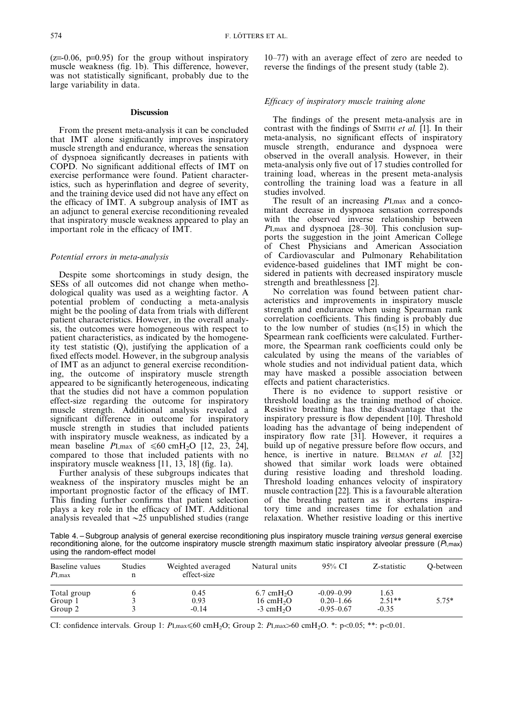$(z=0.06, p=0.95)$  for the group without inspiratory muscle weakness (fig. 1b). This difference, however, was not statistically significant, probably due to the large variability in data.

# **Discussion**

From the present meta-analysis it can be concluded that IMT alone significantly improves inspiratory muscle strength and endurance, whereas the sensation of dyspnoea significantly decreases in patients with COPD. No significant additional effects of IMT on exercise performance were found. Patient characteristics, such as hyperinflation and degree of severity, and the training device used did not have any effect on the efficacy of IMT. A subgroup analysis of IMT as an adjunct to general exercise reconditioning revealed that inspiratory muscle weakness appeared to play an important role in the efficacy of IMT.

#### Potential errors in meta-analysis

Despite some shortcomings in study design, the SESs of all outcomes did not change when methodological quality was used as a weighting factor. A potential problem of conducting a meta-analysis might be the pooling of data from trials with different patient characteristics. However, in the overall analysis, the outcomes were homogeneous with respect to patient characteristics, as indicated by the homogeneity test statistic (Q), justifying the application of a fixed effects model. However, in the subgroup analysis of IMT as an adjunct to general exercise reconditioning, the outcome of inspiratory muscle strength appeared to be significantly heterogeneous, indicating that the studies did not have a common population effect-size regarding the outcome for inspiratory muscle strength. Additional analysis revealed a significant difference in outcome for inspiratory muscle strength in studies that included patients with inspiratory muscle weakness, as indicated by a mean baseline  $P_{\text{I,max}}$  of  $\leq 60 \text{ cm} + 120 \text{ [12, 23, 24]},$ compared to those that included patients with no inspiratory muscle weakness [11, 13, 18] (fig. 1a).

Further analysis of these subgroups indicates that weakness of the inspiratory muscles might be an important prognostic factor of the efficacy of IMT. This finding further confirms that patient selection plays a key role in the efficacy of IMT. Additional analysis revealed that  $\sim$ 25 unpublished studies (range

10–77) with an average effect of zero are needed to reverse the findings of the present study (table 2).

# Efficacy of inspiratory muscle training alone

The findings of the present meta-analysis are in contrast with the findings of SMITH *et al.* [1]. In their meta-analysis, no significant effects of inspiratory muscle strength, endurance and dyspnoea were observed in the overall analysis. However, in their meta-analysis only five out of 17 studies controlled for training load, whereas in the present meta-analysis controlling the training load was a feature in all studies involved.

The result of an increasing PI,max and a concomitant decrease in dyspnoea sensation corresponds with the observed inverse relationship between PI,max and dyspnoea [28–30]. This conclusion supports the suggestion in the joint American College of Chest Physicians and American Association of Cardiovascular and Pulmonary Rehabilitation evidence-based guidelines that IMT might be considered in patients with decreased inspiratory muscle strength and breathlessness [2].

No correlation was found between patient characteristics and improvements in inspiratory muscle strength and endurance when using Spearman rank correlation coefficients. This finding is probably due to the low number of studies  $(n \leq 15)$  in which the Spearmean rank coefficients were calculated. Furthermore, the Spearman rank coefficients could only be calculated by using the means of the variables of whole studies and not individual patient data, which may have masked a possible association between effects and patient characteristics.

There is no evidence to support resistive or threshold loading as the training method of choice. Resistive breathing has the disadvantage that the inspiratory pressure is flow dependent [10]. Threshold loading has the advantage of being independent of inspiratory flow rate [31]. However, it requires a build up of negative pressure before flow occurs, and hence, is inertive in nature. BELMAN et al. [32] showed that similar work loads were obtained during resistive loading and threshold loading. Threshold loading enhances velocity of inspiratory muscle contraction [22]. This is a favourable alteration of the breathing pattern as it shortens inspiratory time and increases time for exhalation and relaxation. Whether resistive loading or this inertive

Table 4. – Subgroup analysis of general exercise reconditioning plus inspiratory muscle training versus general exercise reconditioning alone, for the outcome inspiratory muscle strength maximum static inspiratory alveolar pressure  $(P_{1,\text{max}})$ using the random-effect model

| Baseline values<br>$P_{\text{I,max}}$ | <b>Studies</b> | Weighted averaged<br>effect-size | Natural units           | $95\%$ CI      | Z-statistic | O-between |
|---------------------------------------|----------------|----------------------------------|-------------------------|----------------|-------------|-----------|
| Total group                           |                | 0.45                             | $6.7 \text{ cmH}_2$ O   | $-0.09 - 0.99$ | 1.63        |           |
| Group 1                               |                | 0.93                             | 16 cm $H2O$             | $0.20 - 1.66$  | $2.51**$    | $5.75*$   |
| Group 2                               |                | $-0.14$                          | $-3$ cmH <sub>2</sub> O | $-0.95 - 0.67$ | $-0.35$     |           |

CI: confidence intervals. Group 1:  $P1$ ,  $max \le 60$  cmH<sub>2</sub>O; Group 2:  $P1$ ,  $max > 60$  cmH<sub>2</sub>O. \*: p $< 0.05$ ; \*\*: p $< 0.01$ .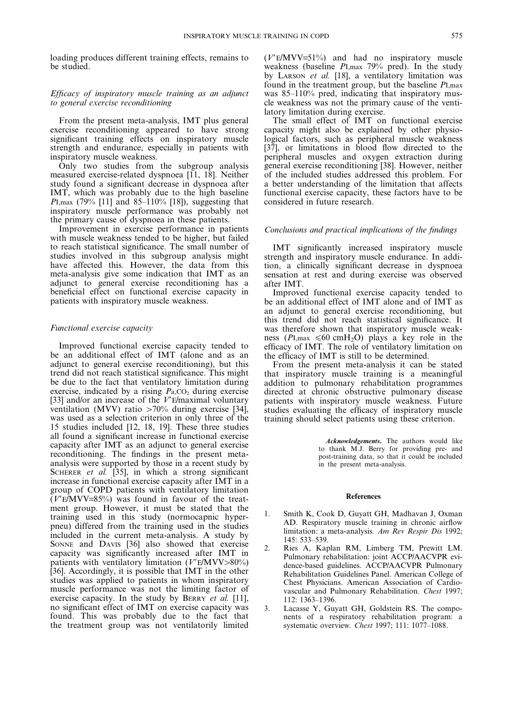loading produces different training effects, remains to be studied.

# Efficacy of inspiratory muscle training as an adjunct to general exercise reconditioning

From the present meta-analysis, IMT plus general exercise reconditioning appeared to have strong significant training effects on inspiratory muscle strength and endurance, especially in patients with inspiratory muscle weakness.

Only two studies from the subgroup analysis measured exercise-related dyspnoea [11, 18]. Neither study found a significant decrease in dyspnoea after IMT, which was probably due to the high baseline *PI,max (79% [11] and 85-110% [18]), suggesting that* inspiratory muscle performance was probably not the primary cause of dyspnoea in these patients.

Improvement in exercise performance in patients with muscle weakness tended to be higher, but failed to reach statistical significance. The small number of studies involved in this subgroup analysis might have affected this. However, the data from this meta-analysis give some indication that IMT as an adjunct to general exercise reconditioning has a beneficial effect on functional exercise capacity in patients with inspiratory muscle weakness.

#### Functional exercise capacity

Improved functional exercise capacity tended to be an additional effect of IMT (alone and as an adjunct to general exercise reconditioning), but this trend did not reach statistical significance. This might be due to the fact that ventilatory limitation during exercise, indicated by a rising  $P_{a,CO_2}$  during exercise [33] and/or an increase of the  $V'E/maximal$  voluntary ventilation (MVV) ratio  $>70\%$  during exercise [34], was used as a selection criterion in only three of the 15 studies included [12, 18, 19]. These three studies all found a significant increase in functional exercise capacity after IMT as an adjunct to general exercise reconditioning. The findings in the present metaanalysis were supported by those in a recent study by SCHERER et al. [35], in which a strong significant increase in functional exercise capacity after IMT in a group of COPD patients with ventilatory limitation  $(V'E/MVV=85%)$  was found in favour of the treatment group. However, it must be stated that the training used in this study (normocapnic hyperpneu) differed from the training used in the studies included in the current meta-analysis. A study by SONNE and DAVIS [36] also showed that exercise capacity was significantly increased after IMT in patients with ventilatory limitation ( $V'E/MVV > 80\%$ ) [36]. Accordingly, it is possible that IMT in the other studies was applied to patients in whom inspiratory muscle performance was not the limiting factor of exercise capacity. In the study by BERRY et al. [11], no significant effect of IMT on exercise capacity was found. This was probably due to the fact that the treatment group was not ventilatorily limited  $(V'E/MVV=51%)$  and had no inspiratory muscle weakness (baseline PI,max 79% pred). In the study by LARSON et al. [18], a ventilatory limitation was found in the treatment group, but the baseline PI,max was 85–110% pred, indicating that inspiratory muscle weakness was not the primary cause of the ventilatory limitation during exercise.

The small effect of IMT on functional exercise capacity might also be explained by other physiological factors, such as peripheral muscle weakness [37], or limitations in blood flow directed to the peripheral muscles and oxygen extraction during general exercise reconditioning [38]. However, neither of the included studies addressed this problem. For a better understanding of the limitation that affects functional exercise capacity, these factors have to be considered in future research.

# Conclusions and practical implications of the findings

IMT significantly increased inspiratory muscle strength and inspiratory muscle endurance. In addition, a clinically significant decrease in dyspnoea sensation at rest and during exercise was observed after IMT.

Improved functional exercise capacity tended to be an additional effect of IMT alone and of IMT as an adjunct to general exercise reconditioning, but this trend did not reach statistical significance. It was therefore shown that inspiratory muscle weakness ( $P_{\text{I,max}} \leq 60 \text{ cm} + 120$ ) plays a key role in the efficacy of IMT. The role of ventilatory limitation on the efficacy of IMT is still to be determined.

From the present meta-analysis it can be stated that inspiratory muscle training is a meaningful addition to pulmonary rehabilitation programmes directed at chronic obstructive pulmonary disease patients with inspiratory muscle weakness. Future studies evaluating the efficacy of inspiratory muscle training should select patients using these criterion.

> Acknowledgements. The authors would like to thank M.J. Berry for providing pre- and post-training data, so that it could be included in the present meta-analysis.

#### **References**

- 1. Smith K, Cook D, Guyatt GH, Madhavan J, Oxman AD. Respiratory muscle training in chronic airflow limitation: a meta-analysis. Am Rev Respir Dis 1992; 145: 533–539.
- 2. Ries A, Kaplan RM, Limberg TM, Prewitt LM. Pulmonary rehabilitation: joint ACCP/AACVPR evidence-based guidelines. ACCP/AACVPR Pulmonary Rehabilitation Guidelines Panel. American College of Chest Physicians. American Association of Cardiovascular and Pulmonary Rehabilitation. Chest 1997; 112: 1363–1396.
- 3. Lacasse Y, Guyatt GH, Goldstein RS. The components of a respiratory rehabilitation program: a systematic overview. Chest 1997; 111: 1077–1088.